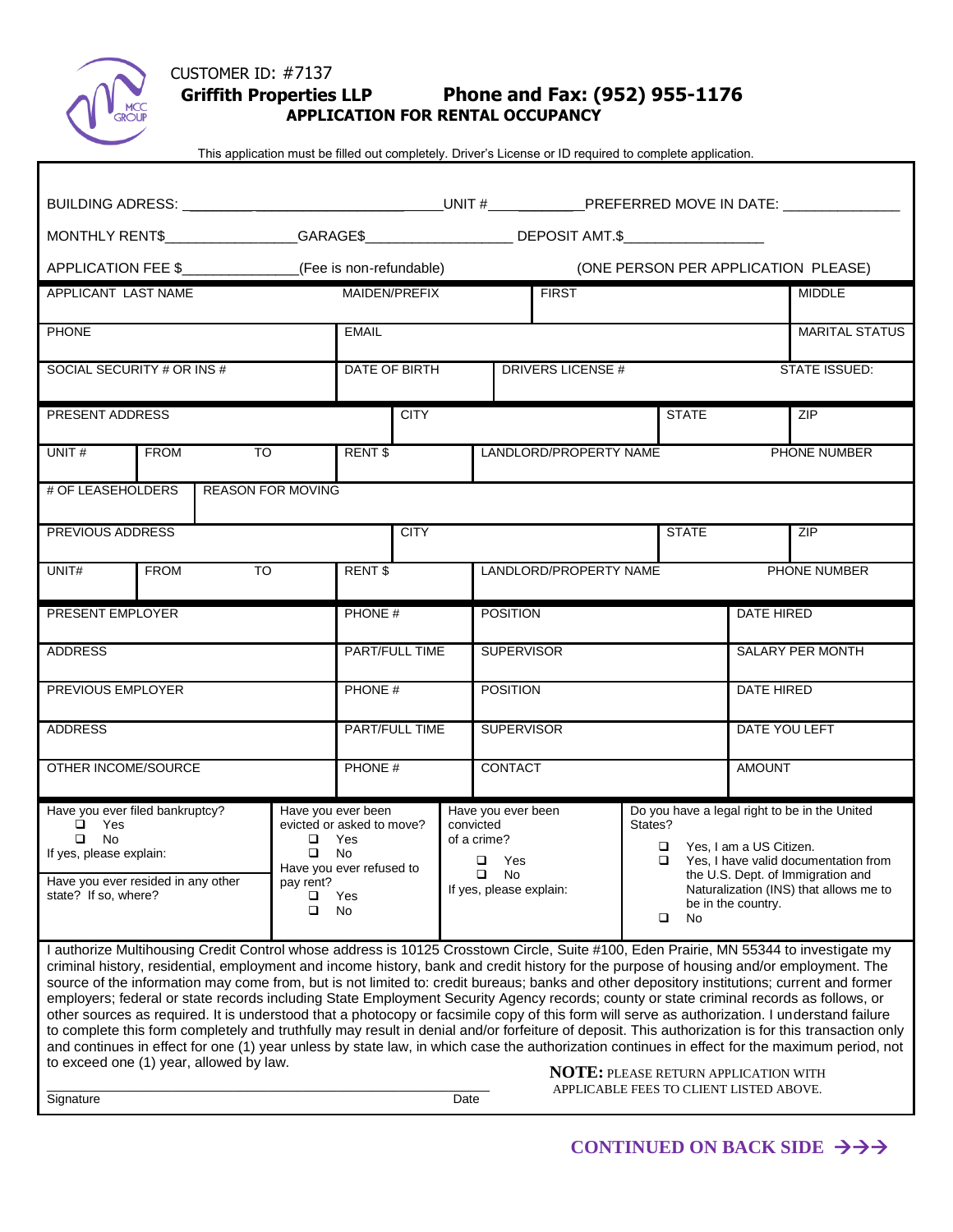

## CUSTOMER ID: #7137  **Griffith Properties LLP Phone and Fax: (952) 955-1176 APPLICATION FOR RENTAL OCCUPANCY**

This application must be filled out completely. Driver's License or ID required to complete application.

| BUILDING ADRESS: __________________________________UNIT #_____________PREFERRED MOVE IN DATE: _______________                                                                                                                                                                                                                                                                                                                                                                                                                                                                                                                                                                                                                                                                                                                                                                                                                                                                                                                                                                                                                |                                |                                                                                                       |                    |                 |                                                                                                      |                                        |              |                                                                                                                                                                                                                                                  |                       |               |              |
|------------------------------------------------------------------------------------------------------------------------------------------------------------------------------------------------------------------------------------------------------------------------------------------------------------------------------------------------------------------------------------------------------------------------------------------------------------------------------------------------------------------------------------------------------------------------------------------------------------------------------------------------------------------------------------------------------------------------------------------------------------------------------------------------------------------------------------------------------------------------------------------------------------------------------------------------------------------------------------------------------------------------------------------------------------------------------------------------------------------------------|--------------------------------|-------------------------------------------------------------------------------------------------------|--------------------|-----------------|------------------------------------------------------------------------------------------------------|----------------------------------------|--------------|--------------------------------------------------------------------------------------------------------------------------------------------------------------------------------------------------------------------------------------------------|-----------------------|---------------|--------------|
| MONTHLY RENT\$__________________GARAGE\$_________________________DEPOSIT AMT.\$_______________________                                                                                                                                                                                                                                                                                                                                                                                                                                                                                                                                                                                                                                                                                                                                                                                                                                                                                                                                                                                                                       |                                |                                                                                                       |                    |                 |                                                                                                      |                                        |              |                                                                                                                                                                                                                                                  |                       |               |              |
| APPLICATION FEE \$_______________(Fee is non-refundable)<br>(ONE PERSON PER APPLICATION PLEASE)                                                                                                                                                                                                                                                                                                                                                                                                                                                                                                                                                                                                                                                                                                                                                                                                                                                                                                                                                                                                                              |                                |                                                                                                       |                    |                 |                                                                                                      |                                        |              |                                                                                                                                                                                                                                                  |                       |               |              |
| APPLICANT LAST NAME                                                                                                                                                                                                                                                                                                                                                                                                                                                                                                                                                                                                                                                                                                                                                                                                                                                                                                                                                                                                                                                                                                          | MAIDEN/PREFIX                  |                                                                                                       |                    | <b>FIRST</b>    |                                                                                                      |                                        |              | <b>MIDDLE</b>                                                                                                                                                                                                                                    |                       |               |              |
| <b>PHONE</b>                                                                                                                                                                                                                                                                                                                                                                                                                                                                                                                                                                                                                                                                                                                                                                                                                                                                                                                                                                                                                                                                                                                 | <b>EMAIL</b>                   |                                                                                                       |                    |                 |                                                                                                      |                                        |              |                                                                                                                                                                                                                                                  | <b>MARITAL STATUS</b> |               |              |
| SOCIAL SECURITY # OR INS #                                                                                                                                                                                                                                                                                                                                                                                                                                                                                                                                                                                                                                                                                                                                                                                                                                                                                                                                                                                                                                                                                                   |                                |                                                                                                       | DATE OF BIRTH      |                 |                                                                                                      | DRIVERS LICENSE #                      |              |                                                                                                                                                                                                                                                  |                       | STATE ISSUED: |              |
| PRESENT ADDRESS                                                                                                                                                                                                                                                                                                                                                                                                                                                                                                                                                                                                                                                                                                                                                                                                                                                                                                                                                                                                                                                                                                              |                                | <b>CITY</b>                                                                                           |                    |                 |                                                                                                      |                                        | <b>STATE</b> |                                                                                                                                                                                                                                                  | ZIP                   |               |              |
| UNIT#                                                                                                                                                                                                                                                                                                                                                                                                                                                                                                                                                                                                                                                                                                                                                                                                                                                                                                                                                                                                                                                                                                                        | $\overline{10}$<br>FROM        |                                                                                                       | RENT \$            |                 |                                                                                                      | LANDLORD/PROPERTY NAME                 |              |                                                                                                                                                                                                                                                  |                       |               | PHONE NUMBER |
| # OF LEASEHOLDERS<br><b>REASON FOR MOVING</b>                                                                                                                                                                                                                                                                                                                                                                                                                                                                                                                                                                                                                                                                                                                                                                                                                                                                                                                                                                                                                                                                                |                                |                                                                                                       |                    |                 |                                                                                                      |                                        |              |                                                                                                                                                                                                                                                  |                       |               |              |
| PREVIOUS ADDRESS                                                                                                                                                                                                                                                                                                                                                                                                                                                                                                                                                                                                                                                                                                                                                                                                                                                                                                                                                                                                                                                                                                             |                                |                                                                                                       |                    | <b>CITY</b>     |                                                                                                      |                                        |              |                                                                                                                                                                                                                                                  | <b>STATE</b>          |               | ZIP          |
| UNIT#                                                                                                                                                                                                                                                                                                                                                                                                                                                                                                                                                                                                                                                                                                                                                                                                                                                                                                                                                                                                                                                                                                                        | $\overline{10}$<br><b>FROM</b> |                                                                                                       | RENT <sub>\$</sub> |                 |                                                                                                      | PHONE NUMBER<br>LANDLORD/PROPERTY NAME |              |                                                                                                                                                                                                                                                  |                       |               |              |
| PRESENT EMPLOYER                                                                                                                                                                                                                                                                                                                                                                                                                                                                                                                                                                                                                                                                                                                                                                                                                                                                                                                                                                                                                                                                                                             |                                | PHONE #                                                                                               |                    | <b>POSITION</b> |                                                                                                      |                                        |              | <b>DATE HIRED</b>                                                                                                                                                                                                                                |                       |               |              |
| <b>ADDRESS</b>                                                                                                                                                                                                                                                                                                                                                                                                                                                                                                                                                                                                                                                                                                                                                                                                                                                                                                                                                                                                                                                                                                               |                                |                                                                                                       | PART/FULL TIME     |                 |                                                                                                      | <b>SUPERVISOR</b>                      |              |                                                                                                                                                                                                                                                  | SALARY PER MONTH      |               |              |
| PREVIOUS EMPLOYER                                                                                                                                                                                                                                                                                                                                                                                                                                                                                                                                                                                                                                                                                                                                                                                                                                                                                                                                                                                                                                                                                                            |                                |                                                                                                       | PHONE #            |                 |                                                                                                      | <b>POSITION</b>                        |              |                                                                                                                                                                                                                                                  | <b>DATE HIRED</b>     |               |              |
| <b>ADDRESS</b>                                                                                                                                                                                                                                                                                                                                                                                                                                                                                                                                                                                                                                                                                                                                                                                                                                                                                                                                                                                                                                                                                                               |                                |                                                                                                       | PART/FULL TIME     |                 |                                                                                                      | <b>SUPERVISOR</b>                      |              |                                                                                                                                                                                                                                                  | DATE YOU LEFT         |               |              |
| OTHER INCOME/SOURCE                                                                                                                                                                                                                                                                                                                                                                                                                                                                                                                                                                                                                                                                                                                                                                                                                                                                                                                                                                                                                                                                                                          |                                |                                                                                                       | PHONE #            |                 |                                                                                                      | CONTACT                                |              |                                                                                                                                                                                                                                                  | <b>AMOUNT</b>         |               |              |
| Have you ever filed bankruptcy?<br>$\Box$ Yes<br>$\Box$ No<br>$\Box$<br>If yes, please explain:<br>$\Box$<br>Have you ever resided in any other<br>pay rent?<br>state? If so, where?<br>$\Box$<br>□                                                                                                                                                                                                                                                                                                                                                                                                                                                                                                                                                                                                                                                                                                                                                                                                                                                                                                                          |                                | Have you ever been<br>evicted or asked to move?<br>Yes<br>No<br>Have you ever refused to<br>Yes<br>No |                    |                 | Have you ever been<br>convicted<br>of a crime?<br>$\Box$ Yes<br>$\Box$ No<br>If yes, please explain: |                                        |              | Do you have a legal right to be in the United<br>States?<br>□ Yes, I am a US Citizen.<br>□ Yes, I have valid documentation from<br>the U.S. Dept. of Immigration and<br>Naturalization (INS) that allows me to<br>be in the country.<br>□<br>No. |                       |               |              |
| I authorize Multihousing Credit Control whose address is 10125 Crosstown Circle, Suite #100, Eden Prairie, MN 55344 to investigate my<br>criminal history, residential, employment and income history, bank and credit history for the purpose of housing and/or employment. The<br>source of the information may come from, but is not limited to: credit bureaus; banks and other depository institutions; current and former<br>employers; federal or state records including State Employment Security Agency records; county or state criminal records as follows, or<br>other sources as required. It is understood that a photocopy or facsimile copy of this form will serve as authorization. I understand failure<br>to complete this form completely and truthfully may result in denial and/or forfeiture of deposit. This authorization is for this transaction only<br>and continues in effect for one (1) year unless by state law, in which case the authorization continues in effect for the maximum period, not<br>to exceed one (1) year, allowed by law.<br><b>NOTE: PLEASE RETURN APPLICATION WITH</b> |                                |                                                                                                       |                    |                 |                                                                                                      |                                        |              |                                                                                                                                                                                                                                                  |                       |               |              |

APPLICABLE FEES TO CLIENT LISTED ABOVE.

Signature Date

\_\_\_\_\_\_\_\_\_\_\_\_\_\_\_\_\_\_\_\_\_\_\_\_\_\_\_\_\_\_\_\_\_\_\_\_\_\_\_\_\_\_\_\_\_\_\_\_\_\_\_\_\_\_\_\_\_\_\_\_\_\_\_\_